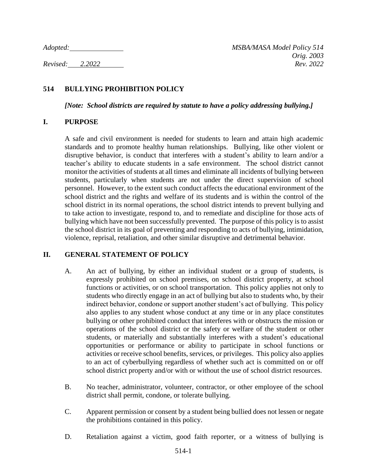# **514 BULLYING PROHIBITION POLICY**

*[Note: School districts are required by statute to have a policy addressing bullying.]*

#### **I. PURPOSE**

A safe and civil environment is needed for students to learn and attain high academic standards and to promote healthy human relationships. Bullying, like other violent or disruptive behavior, is conduct that interferes with a student's ability to learn and/or a teacher's ability to educate students in a safe environment. The school district cannot monitor the activities of students at all times and eliminate all incidents of bullying between students, particularly when students are not under the direct supervision of school personnel. However, to the extent such conduct affects the educational environment of the school district and the rights and welfare of its students and is within the control of the school district in its normal operations, the school district intends to prevent bullying and to take action to investigate, respond to, and to remediate and discipline for those acts of bullying which have not been successfully prevented. The purpose of this policy is to assist the school district in its goal of preventing and responding to acts of bullying, intimidation, violence, reprisal, retaliation, and other similar disruptive and detrimental behavior.

### **II. GENERAL STATEMENT OF POLICY**

- A. An act of bullying, by either an individual student or a group of students, is expressly prohibited on school premises, on school district property, at school functions or activities, or on school transportation. This policy applies not only to students who directly engage in an act of bullying but also to students who, by their indirect behavior, condone or support another student's act of bullying. This policy also applies to any student whose conduct at any time or in any place constitutes bullying or other prohibited conduct that interferes with or obstructs the mission or operations of the school district or the safety or welfare of the student or other students, or materially and substantially interferes with a student's educational opportunities or performance or ability to participate in school functions or activities or receive school benefits, services, or privileges. This policy also applies to an act of cyberbullying regardless of whether such act is committed on or off school district property and/or with or without the use of school district resources.
- B. No teacher, administrator, volunteer, contractor, or other employee of the school district shall permit, condone, or tolerate bullying.
- C. Apparent permission or consent by a student being bullied does not lessen or negate the prohibitions contained in this policy.
- D. Retaliation against a victim, good faith reporter, or a witness of bullying is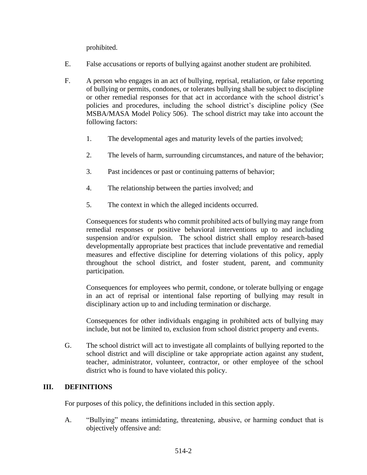prohibited.

- E. False accusations or reports of bullying against another student are prohibited.
- F. A person who engages in an act of bullying, reprisal, retaliation, or false reporting of bullying or permits, condones, or tolerates bullying shall be subject to discipline or other remedial responses for that act in accordance with the school district's policies and procedures, including the school district's discipline policy (See MSBA/MASA Model Policy 506). The school district may take into account the following factors:
	- 1. The developmental ages and maturity levels of the parties involved;
	- 2. The levels of harm, surrounding circumstances, and nature of the behavior;
	- 3. Past incidences or past or continuing patterns of behavior;
	- 4. The relationship between the parties involved; and
	- 5. The context in which the alleged incidents occurred.

Consequences for students who commit prohibited acts of bullying may range from remedial responses or positive behavioral interventions up to and including suspension and/or expulsion. The school district shall employ research-based developmentally appropriate best practices that include preventative and remedial measures and effective discipline for deterring violations of this policy, apply throughout the school district, and foster student, parent, and community participation.

Consequences for employees who permit, condone, or tolerate bullying or engage in an act of reprisal or intentional false reporting of bullying may result in disciplinary action up to and including termination or discharge.

Consequences for other individuals engaging in prohibited acts of bullying may include, but not be limited to, exclusion from school district property and events.

G. The school district will act to investigate all complaints of bullying reported to the school district and will discipline or take appropriate action against any student, teacher, administrator, volunteer, contractor, or other employee of the school district who is found to have violated this policy.

### **III. DEFINITIONS**

For purposes of this policy, the definitions included in this section apply.

A. "Bullying" means intimidating, threatening, abusive, or harming conduct that is objectively offensive and: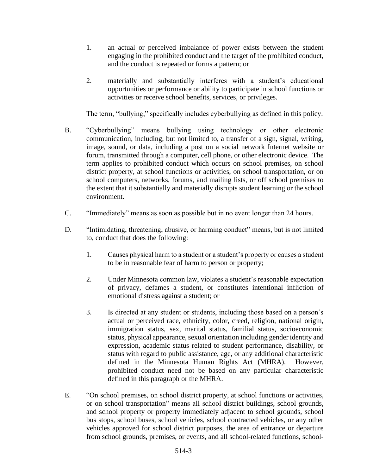- 1. an actual or perceived imbalance of power exists between the student engaging in the prohibited conduct and the target of the prohibited conduct, and the conduct is repeated or forms a pattern; or
- 2. materially and substantially interferes with a student's educational opportunities or performance or ability to participate in school functions or activities or receive school benefits, services, or privileges.

The term, "bullying," specifically includes cyberbullying as defined in this policy.

- B. "Cyberbullying" means bullying using technology or other electronic communication, including, but not limited to, a transfer of a sign, signal, writing, image, sound, or data, including a post on a social network Internet website or forum, transmitted through a computer, cell phone, or other electronic device. The term applies to prohibited conduct which occurs on school premises, on school district property, at school functions or activities, on school transportation, or on school computers, networks, forums, and mailing lists, or off school premises to the extent that it substantially and materially disrupts student learning or the school environment.
- C. "Immediately" means as soon as possible but in no event longer than 24 hours.
- D. "Intimidating, threatening, abusive, or harming conduct" means, but is not limited to, conduct that does the following:
	- 1. Causes physical harm to a student or a student's property or causes a student to be in reasonable fear of harm to person or property;
	- 2. Under Minnesota common law, violates a student's reasonable expectation of privacy, defames a student, or constitutes intentional infliction of emotional distress against a student; or
	- 3. Is directed at any student or students, including those based on a person's actual or perceived race, ethnicity, color, creed, religion, national origin, immigration status, sex, marital status, familial status, socioeconomic status, physical appearance, sexual orientation including gender identity and expression, academic status related to student performance, disability, or status with regard to public assistance, age, or any additional characteristic defined in the Minnesota Human Rights Act (MHRA). However, prohibited conduct need not be based on any particular characteristic defined in this paragraph or the MHRA.
- E. "On school premises, on school district property, at school functions or activities, or on school transportation" means all school district buildings, school grounds, and school property or property immediately adjacent to school grounds, school bus stops, school buses, school vehicles, school contracted vehicles, or any other vehicles approved for school district purposes, the area of entrance or departure from school grounds, premises, or events, and all school-related functions, school-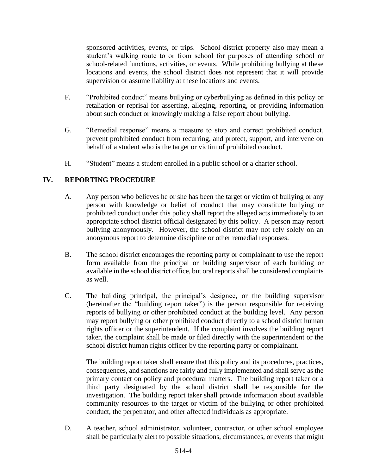sponsored activities, events, or trips. School district property also may mean a student's walking route to or from school for purposes of attending school or school-related functions, activities, or events. While prohibiting bullying at these locations and events, the school district does not represent that it will provide supervision or assume liability at these locations and events.

- F. "Prohibited conduct" means bullying or cyberbullying as defined in this policy or retaliation or reprisal for asserting, alleging, reporting, or providing information about such conduct or knowingly making a false report about bullying.
- G. "Remedial response" means a measure to stop and correct prohibited conduct, prevent prohibited conduct from recurring, and protect, support, and intervene on behalf of a student who is the target or victim of prohibited conduct.
- H. "Student" means a student enrolled in a public school or a charter school.

# **IV. REPORTING PROCEDURE**

- A. Any person who believes he or she has been the target or victim of bullying or any person with knowledge or belief of conduct that may constitute bullying or prohibited conduct under this policy shall report the alleged acts immediately to an appropriate school district official designated by this policy. A person may report bullying anonymously. However, the school district may not rely solely on an anonymous report to determine discipline or other remedial responses.
- B. The school district encourages the reporting party or complainant to use the report form available from the principal or building supervisor of each building or available in the school district office, but oral reports shall be considered complaints as well.
- C. The building principal, the principal's designee, or the building supervisor (hereinafter the "building report taker") is the person responsible for receiving reports of bullying or other prohibited conduct at the building level. Any person may report bullying or other prohibited conduct directly to a school district human rights officer or the superintendent. If the complaint involves the building report taker, the complaint shall be made or filed directly with the superintendent or the school district human rights officer by the reporting party or complainant.

The building report taker shall ensure that this policy and its procedures, practices, consequences, and sanctions are fairly and fully implemented and shall serve as the primary contact on policy and procedural matters. The building report taker or a third party designated by the school district shall be responsible for the investigation. The building report taker shall provide information about available community resources to the target or victim of the bullying or other prohibited conduct, the perpetrator, and other affected individuals as appropriate.

D. A teacher, school administrator, volunteer, contractor, or other school employee shall be particularly alert to possible situations, circumstances, or events that might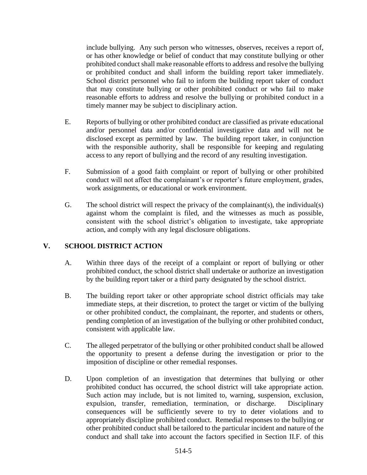include bullying. Any such person who witnesses, observes, receives a report of, or has other knowledge or belief of conduct that may constitute bullying or other prohibited conduct shall make reasonable efforts to address and resolve the bullying or prohibited conduct and shall inform the building report taker immediately. School district personnel who fail to inform the building report taker of conduct that may constitute bullying or other prohibited conduct or who fail to make reasonable efforts to address and resolve the bullying or prohibited conduct in a timely manner may be subject to disciplinary action.

- E. Reports of bullying or other prohibited conduct are classified as private educational and/or personnel data and/or confidential investigative data and will not be disclosed except as permitted by law. The building report taker, in conjunction with the responsible authority, shall be responsible for keeping and regulating access to any report of bullying and the record of any resulting investigation.
- F. Submission of a good faith complaint or report of bullying or other prohibited conduct will not affect the complainant's or reporter's future employment, grades, work assignments, or educational or work environment.
- G. The school district will respect the privacy of the complainant(s), the individual(s) against whom the complaint is filed, and the witnesses as much as possible, consistent with the school district's obligation to investigate, take appropriate action, and comply with any legal disclosure obligations.

### **V. SCHOOL DISTRICT ACTION**

- A. Within three days of the receipt of a complaint or report of bullying or other prohibited conduct, the school district shall undertake or authorize an investigation by the building report taker or a third party designated by the school district.
- B. The building report taker or other appropriate school district officials may take immediate steps, at their discretion, to protect the target or victim of the bullying or other prohibited conduct, the complainant, the reporter, and students or others, pending completion of an investigation of the bullying or other prohibited conduct, consistent with applicable law.
- C. The alleged perpetrator of the bullying or other prohibited conduct shall be allowed the opportunity to present a defense during the investigation or prior to the imposition of discipline or other remedial responses.
- D. Upon completion of an investigation that determines that bullying or other prohibited conduct has occurred, the school district will take appropriate action. Such action may include, but is not limited to, warning, suspension, exclusion, expulsion, transfer, remediation, termination, or discharge. Disciplinary consequences will be sufficiently severe to try to deter violations and to appropriately discipline prohibited conduct. Remedial responses to the bullying or other prohibited conduct shall be tailored to the particular incident and nature of the conduct and shall take into account the factors specified in Section II.F. of this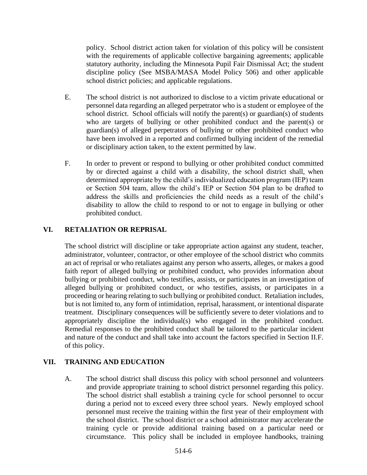policy. School district action taken for violation of this policy will be consistent with the requirements of applicable collective bargaining agreements; applicable statutory authority, including the Minnesota Pupil Fair Dismissal Act; the student discipline policy (See MSBA/MASA Model Policy 506) and other applicable school district policies; and applicable regulations.

- E. The school district is not authorized to disclose to a victim private educational or personnel data regarding an alleged perpetrator who is a student or employee of the school district. School officials will notify the parent(s) or guardian(s) of students who are targets of bullying or other prohibited conduct and the parent(s) or guardian(s) of alleged perpetrators of bullying or other prohibited conduct who have been involved in a reported and confirmed bullying incident of the remedial or disciplinary action taken, to the extent permitted by law.
- F. In order to prevent or respond to bullying or other prohibited conduct committed by or directed against a child with a disability, the school district shall, when determined appropriate by the child's individualized education program (IEP) team or Section 504 team, allow the child's IEP or Section 504 plan to be drafted to address the skills and proficiencies the child needs as a result of the child's disability to allow the child to respond to or not to engage in bullying or other prohibited conduct.

### **VI. RETALIATION OR REPRISAL**

The school district will discipline or take appropriate action against any student, teacher, administrator, volunteer, contractor, or other employee of the school district who commits an act of reprisal or who retaliates against any person who asserts, alleges, or makes a good faith report of alleged bullying or prohibited conduct, who provides information about bullying or prohibited conduct, who testifies, assists, or participates in an investigation of alleged bullying or prohibited conduct, or who testifies, assists, or participates in a proceeding or hearing relating to such bullying or prohibited conduct. Retaliation includes, but is not limited to, any form of intimidation, reprisal, harassment, or intentional disparate treatment. Disciplinary consequences will be sufficiently severe to deter violations and to appropriately discipline the individual(s) who engaged in the prohibited conduct. Remedial responses to the prohibited conduct shall be tailored to the particular incident and nature of the conduct and shall take into account the factors specified in Section II.F. of this policy.

### **VII. TRAINING AND EDUCATION**

A. The school district shall discuss this policy with school personnel and volunteers and provide appropriate training to school district personnel regarding this policy. The school district shall establish a training cycle for school personnel to occur during a period not to exceed every three school years. Newly employed school personnel must receive the training within the first year of their employment with the school district. The school district or a school administrator may accelerate the training cycle or provide additional training based on a particular need or circumstance. This policy shall be included in employee handbooks, training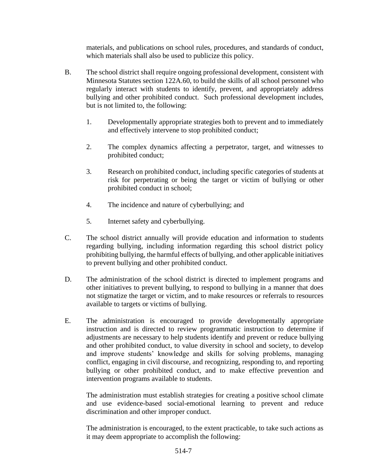materials, and publications on school rules, procedures, and standards of conduct, which materials shall also be used to publicize this policy.

- B. The school district shall require ongoing professional development, consistent with Minnesota Statutes section 122A.60, to build the skills of all school personnel who regularly interact with students to identify, prevent, and appropriately address bullying and other prohibited conduct. Such professional development includes, but is not limited to, the following:
	- 1. Developmentally appropriate strategies both to prevent and to immediately and effectively intervene to stop prohibited conduct;
	- 2. The complex dynamics affecting a perpetrator, target, and witnesses to prohibited conduct;
	- 3. Research on prohibited conduct, including specific categories of students at risk for perpetrating or being the target or victim of bullying or other prohibited conduct in school;
	- 4. The incidence and nature of cyberbullying; and
	- 5. Internet safety and cyberbullying.
- C. The school district annually will provide education and information to students regarding bullying, including information regarding this school district policy prohibiting bullying, the harmful effects of bullying, and other applicable initiatives to prevent bullying and other prohibited conduct.
- D. The administration of the school district is directed to implement programs and other initiatives to prevent bullying, to respond to bullying in a manner that does not stigmatize the target or victim, and to make resources or referrals to resources available to targets or victims of bullying.
- E. The administration is encouraged to provide developmentally appropriate instruction and is directed to review programmatic instruction to determine if adjustments are necessary to help students identify and prevent or reduce bullying and other prohibited conduct, to value diversity in school and society, to develop and improve students' knowledge and skills for solving problems, managing conflict, engaging in civil discourse, and recognizing, responding to, and reporting bullying or other prohibited conduct, and to make effective prevention and intervention programs available to students.

The administration must establish strategies for creating a positive school climate and use evidence-based social-emotional learning to prevent and reduce discrimination and other improper conduct.

The administration is encouraged, to the extent practicable, to take such actions as it may deem appropriate to accomplish the following: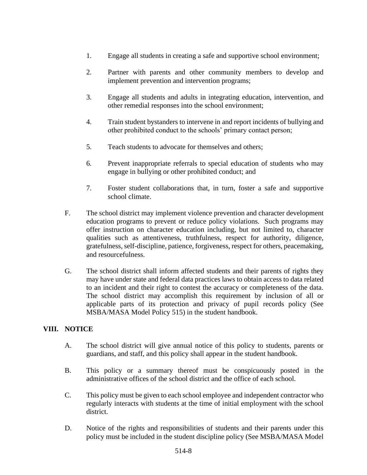- 1. Engage all students in creating a safe and supportive school environment;
- 2. Partner with parents and other community members to develop and implement prevention and intervention programs;
- 3. Engage all students and adults in integrating education, intervention, and other remedial responses into the school environment;
- 4. Train student bystanders to intervene in and report incidents of bullying and other prohibited conduct to the schools' primary contact person;
- 5. Teach students to advocate for themselves and others;
- 6. Prevent inappropriate referrals to special education of students who may engage in bullying or other prohibited conduct; and
- 7. Foster student collaborations that, in turn, foster a safe and supportive school climate.
- F. The school district may implement violence prevention and character development education programs to prevent or reduce policy violations. Such programs may offer instruction on character education including, but not limited to, character qualities such as attentiveness, truthfulness, respect for authority, diligence, gratefulness, self-discipline, patience, forgiveness, respect for others, peacemaking, and resourcefulness.
- G. The school district shall inform affected students and their parents of rights they may have under state and federal data practices laws to obtain access to data related to an incident and their right to contest the accuracy or completeness of the data. The school district may accomplish this requirement by inclusion of all or applicable parts of its protection and privacy of pupil records policy (See MSBA/MASA Model Policy 515) in the student handbook.

### **VIII. NOTICE**

- A. The school district will give annual notice of this policy to students, parents or guardians, and staff, and this policy shall appear in the student handbook.
- B. This policy or a summary thereof must be conspicuously posted in the administrative offices of the school district and the office of each school.
- C. This policy must be given to each school employee and independent contractor who regularly interacts with students at the time of initial employment with the school district.
- D. Notice of the rights and responsibilities of students and their parents under this policy must be included in the student discipline policy (See MSBA/MASA Model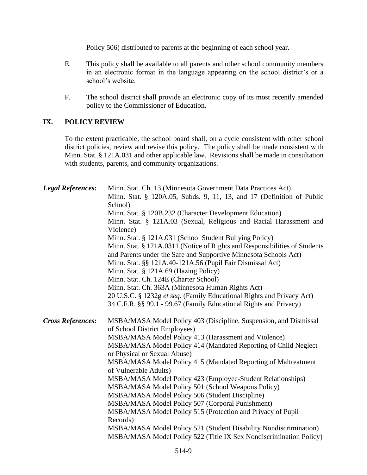Policy 506) distributed to parents at the beginning of each school year.

- E. This policy shall be available to all parents and other school community members in an electronic format in the language appearing on the school district's or a school's website.
- F. The school district shall provide an electronic copy of its most recently amended policy to the Commissioner of Education.

### **IX. POLICY REVIEW**

To the extent practicable, the school board shall, on a cycle consistent with other school district policies, review and revise this policy. The policy shall be made consistent with Minn. Stat. § 121A.031 and other applicable law. Revisions shall be made in consultation with students, parents, and community organizations.

| <b>Legal References:</b> | Minn. Stat. Ch. 13 (Minnesota Government Data Practices Act)<br>Minn. Stat. § 120A.05, Subds. 9, 11, 13, and 17 (Definition of Public<br>School)<br>Minn. Stat. § 120B.232 (Character Development Education)<br>Minn. Stat. § 121A.03 (Sexual, Religious and Racial Harassment and<br>Violence)<br>Minn. Stat. § 121A.031 (School Student Bullying Policy)<br>Minn. Stat. § 121A.0311 (Notice of Rights and Responsibilities of Students<br>and Parents under the Safe and Supportive Minnesota Schools Act)<br>Minn. Stat. §§ 121A.40-121A.56 (Pupil Fair Dismissal Act)<br>Minn. Stat. § 121A.69 (Hazing Policy)<br>Minn. Stat. Ch. 124E (Charter School)<br>Minn. Stat. Ch. 363A (Minnesota Human Rights Act)<br>20 U.S.C. § 1232g et seq. (Family Educational Rights and Privacy Act)<br>34 C.F.R. §§ 99.1 - 99.67 (Family Educational Rights and Privacy) |
|--------------------------|----------------------------------------------------------------------------------------------------------------------------------------------------------------------------------------------------------------------------------------------------------------------------------------------------------------------------------------------------------------------------------------------------------------------------------------------------------------------------------------------------------------------------------------------------------------------------------------------------------------------------------------------------------------------------------------------------------------------------------------------------------------------------------------------------------------------------------------------------------------|
| <b>Cross References:</b> | MSBA/MASA Model Policy 403 (Discipline, Suspension, and Dismissal<br>of School District Employees)<br>MSBA/MASA Model Policy 413 (Harassment and Violence)<br>MSBA/MASA Model Policy 414 (Mandated Reporting of Child Neglect<br>or Physical or Sexual Abuse)<br>MSBA/MASA Model Policy 415 (Mandated Reporting of Maltreatment<br>of Vulnerable Adults)<br>MSBA/MASA Model Policy 423 (Employee-Student Relationships)<br>MSBA/MASA Model Policy 501 (School Weapons Policy)<br>MSBA/MASA Model Policy 506 (Student Discipline)<br>MSBA/MASA Model Policy 507 (Corporal Punishment)<br>MSBA/MASA Model Policy 515 (Protection and Privacy of Pupil<br>Records)<br>MSBA/MASA Model Policy 521 (Student Disability Nondiscrimination)<br>MSBA/MASA Model Policy 522 (Title IX Sex Nondiscrimination Policy)                                                     |